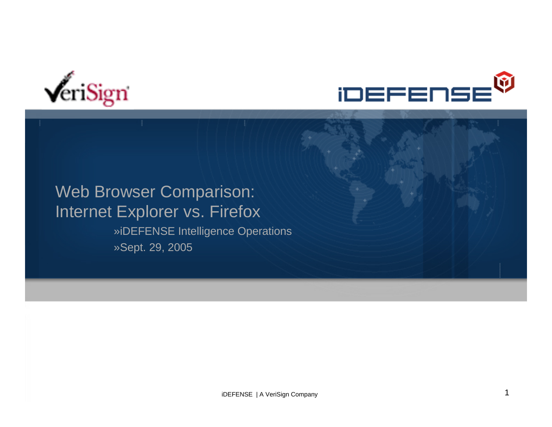



#### Web Browser Comparison: Internet Explorer vs. Firefox »iDEFENSE Intelligence Operations »Sept. 29, 2005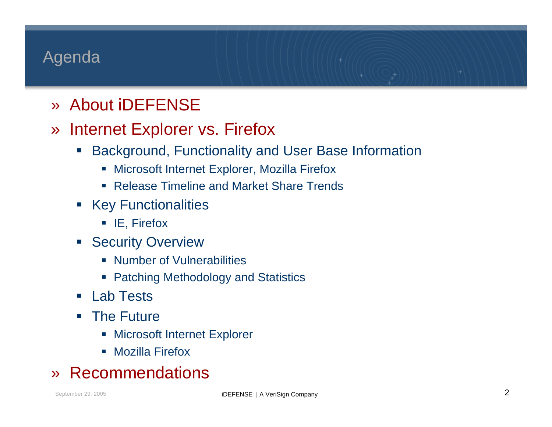## Agenda

- » About iDEFENSE
- » Internet Explorer vs. Firefox
	- $\mathcal{L}(\mathcal{L})$  Background, Functionality and User Base Information
		- Microsoft Internet Explorer, Mozilla Firefox
		- Release Timeline and Market Share Trends
	- **EXEGY Functionalities** 
		- IE, Firefox
	- **Security Overview** 
		- **Number of Vulnerabilities**
		- **Patching Methodology and Statistics**
	- Lab Tests
	- $\mathcal{L}_{\mathcal{A}}$  The Future
		- **EXPLOSE INTERTATE Explorer**
		- $\mathbb{R}^n$ Mozilla Firefox

#### »Recommendations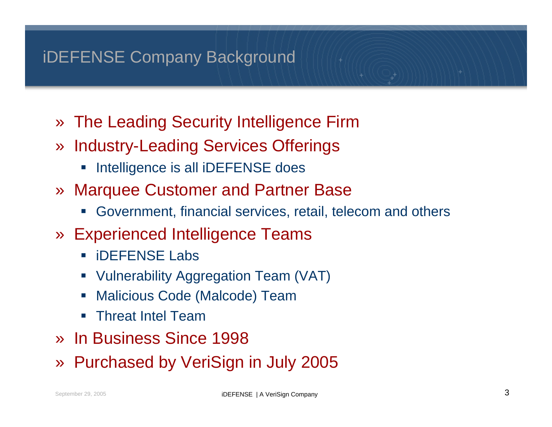## iDEFENSE Company Background

- » The Leading Security Intelligence Firm
- » Industry-Leading Services Offerings
	- $\mathcal{L}_{\mathcal{A}}$ Intelligence is all iDEFENSE does
- » Marquee Customer and Partner Base
	- $\mathcal{L}_{\mathcal{A}}$ Government, financial services, retail, telecom and others
- » Experienced Intelligence Teams
	- $\Box$ iDEFENSE Labs
	- $\Box$ Vulnerability Aggregation Team (VAT)
	- $\overline{\phantom{a}}$ Malicious Code (Malcode) Team
	- $\overline{\phantom{a}}$ Threat Intel Team
- » In Business Since 1998
- »Purchased by VeriSign in July 2005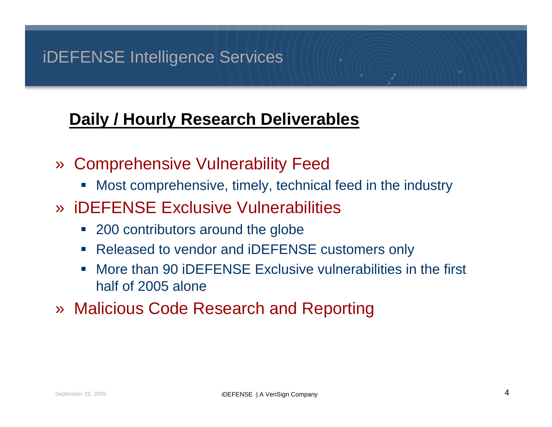## iDEFENSE Intelligence Services

## **Daily / Hourly Research Deliverables**

- » Comprehensive Vulnerability Feed
	- $\mathbb{R}^3$ Most comprehensive, timely, technical feed in the industry
- » iDEFENSE Exclusive Vulnerabilities
	- **200 contributors around the globe**
	- $\blacksquare$ Released to vendor and iDEFENSE customers only
	- $\overline{\phantom{a}}$  More than 90 iDEFENSE Exclusive vulnerabilities in the first half of 2005 alone
- » Malicious Code Research and Reporting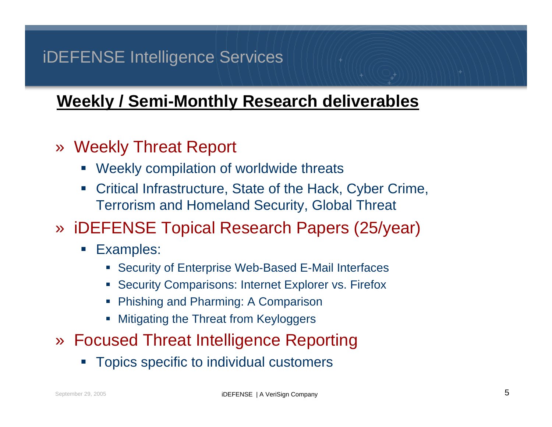## iDEFENSE Intelligence Services

## **Weekly / Semi-Monthly Research deliverables**

## » Weekly Threat Report

- $\mathcal{L}(\mathcal{L})$ Weekly compilation of worldwide threats
- $\mathcal{L}_{\mathcal{A}}$  Critical Infrastructure, State of the Hack, Cyber Crime, Terrorism and Homeland Security, Global Threat

## » iDEFENSE Topical Research Papers (25/year)

- $\mathcal{L}_{\mathcal{A}}$  Examples:
	- **Security of Enterprise Web-Based E-Mail Interfaces**
	- **Security Comparisons: Internet Explorer vs. Firefox**
	- **Phishing and Pharming: A Comparison**
	- г Mitigating the Threat from Keyloggers
- » Focused Threat Intelligence Reporting
	- Topics specific to individual customers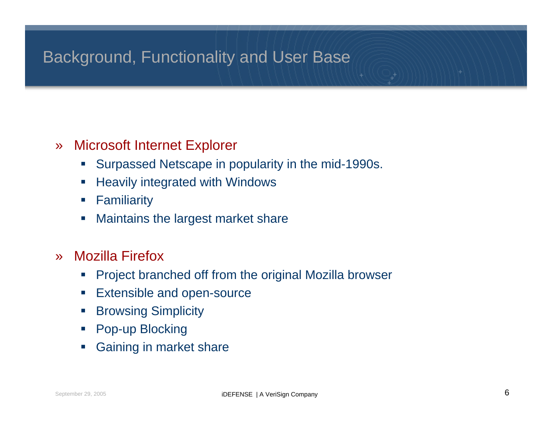## Background, Functionality and User Base

#### »Microsoft Internet Explorer

- $\mathcal{L}_{\mathcal{A}}$ Surpassed Netscape in popularity in the mid-1990s.
- $\mathcal{L}_{\mathcal{A}}$ Heavily integrated with Windows
- $\mathcal{C}$ **Familiarity**
- Т, Maintains the largest market share
- » Mozilla Firefox
	- $\overline{\phantom{a}}$ Project branched off from the original Mozilla browser
	- $\mathcal{L}_{\mathcal{A}}$ Extensible and open-source
	- $\overline{\phantom{a}}$ Browsing Simplicity
	- $\mathcal{L}_{\mathcal{A}}$ Pop-up Blocking
	- ×, Gaining in market share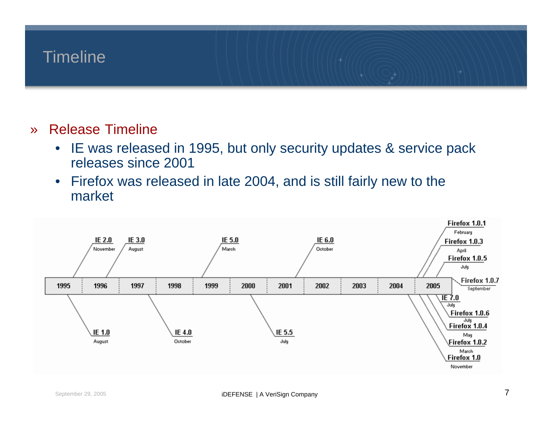#### **Timeline**

- » Release Timeline
	- $\bullet$  IE was released in 1995, but only security updates & service pack releases since 2001
	- • Firefox was released in late 2004, and is still fairly new to the market

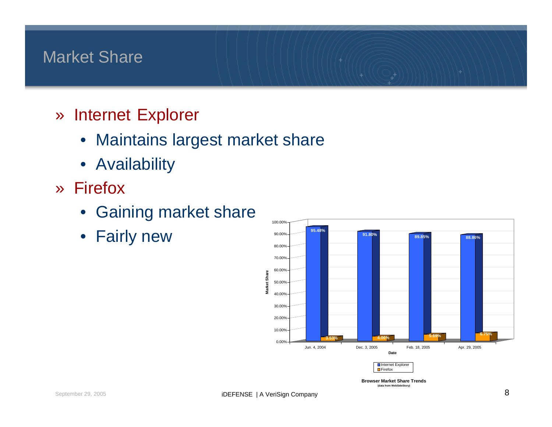## Market Share

- » Internet Explorer
	- Maintains largest market share
	- Availability
- » Firefox
	- Gaining market share
	- Fairly new **1998 Marshall Stage**



**Browser Market Share Trends(data from WebSideStory)**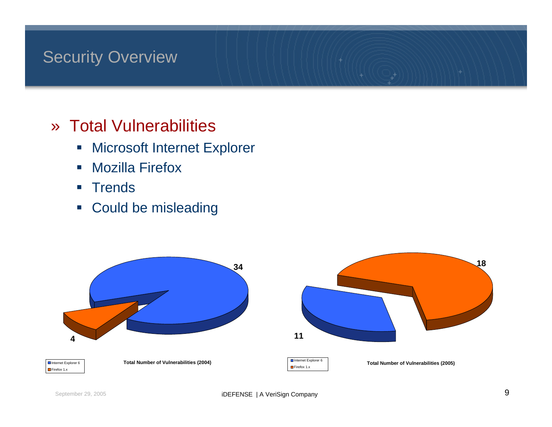## **Security Overview**

## » Total Vulnerabilities

- $\mathcal{L}_{\mathcal{A}}$ Microsoft Internet Explorer
- $\overline{\phantom{a}}$ Mozilla Firefox
- $\mathcal{L}_{\mathcal{A}}$ **Trends**
- $\mathcal{L}_{\mathcal{A}}$ Could be misleading

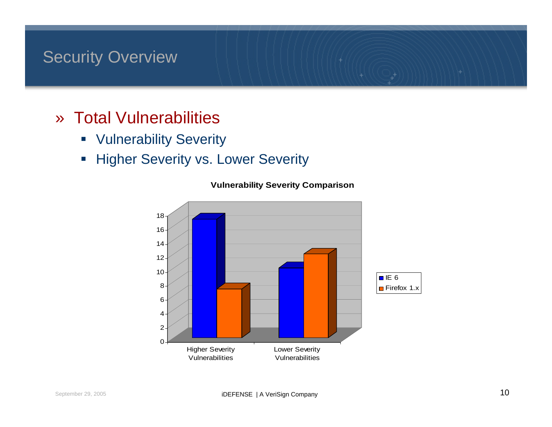### Security Overview

- » Total Vulnerabilities
	- **Vulnerability Severity**
	- $\overline{\mathcal{L}}$ Higher Severity vs. Lower Severity



**Vulnerability Severity Comparison**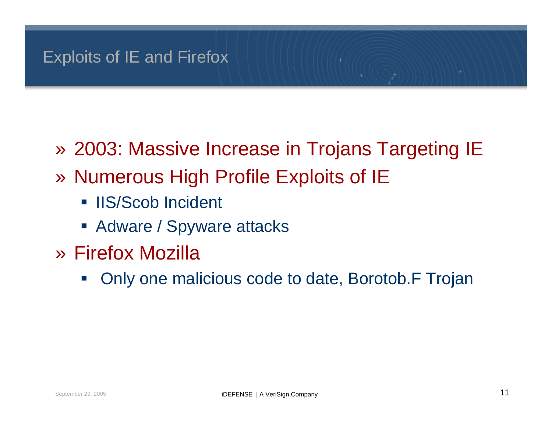- » 2003: Massive Increase in Trojans Targeting IE
- » Numerous High Profile Exploits of IE
	- **IIS/Scob Incident**
	- **Adware / Spyware attacks**
- » Firefox Mozilla
	- $\mathcal{L}_{\mathcal{A}}$ Only one malicious code to date, Borotob.F Trojan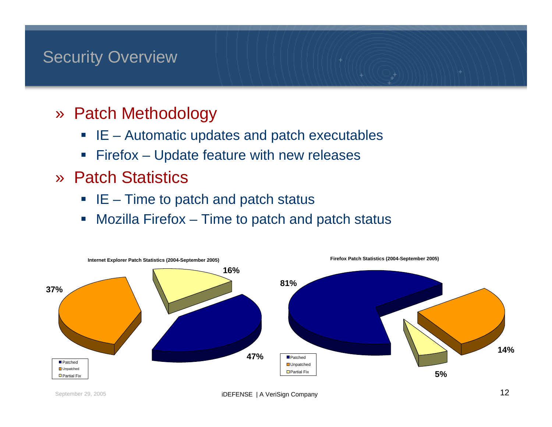## Security Overview

- » Patch Methodology
	- IE Automatic updates and patch executables
	- $\overline{\phantom{a}}$ Firefox – Update feature with new releases
- » Patch Statistics
	- $\blacksquare$  IE Time to patch and patch status
	- $\overline{\Box}$ Mozilla Firefox – Time to patch and patch status

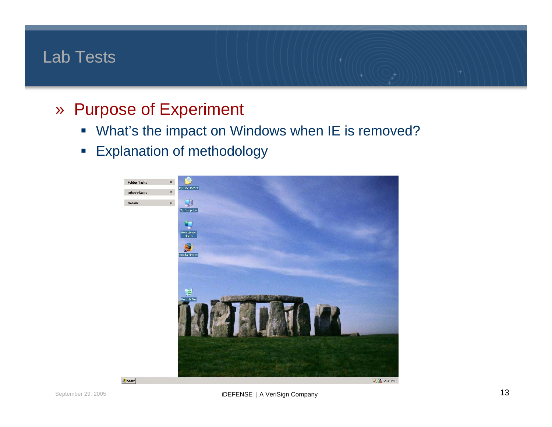## Lab Tests

- » Purpose of Experiment
	- $\mathcal{L}_{\mathcal{A}}$ What's the impact on Windows when IE is removed?
	- $\mathcal{L}_{\mathcal{A}}$ Explanation of methodology

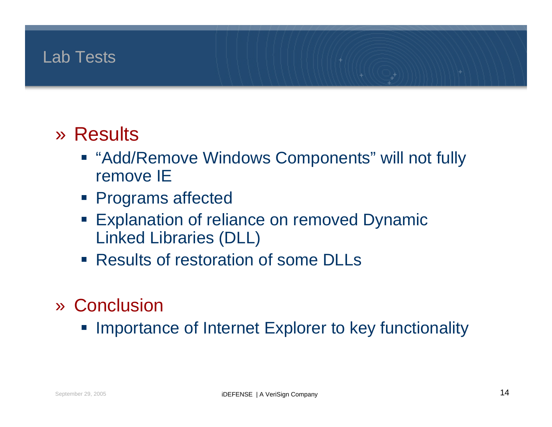## Lab Tests

# » Results

- "Add/Remove Windows Components" will not fully remove IE
- **Programs affected**
- **Explanation of reliance on removed Dynamic** Linked Libraries (DLL)
- Results of restoration of some DLLs
- » Conclusion
	- **Importance of Internet Explorer to key functionality**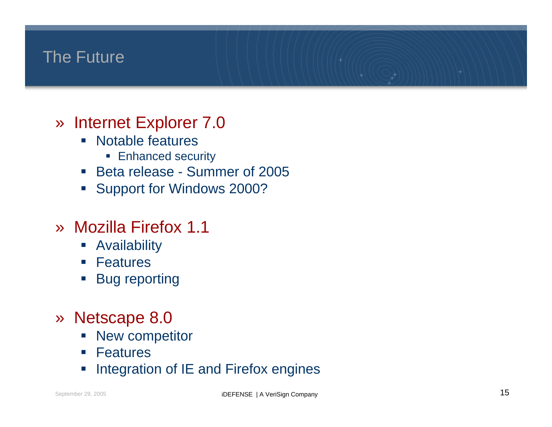## The Future

- » Internet Explorer 7.0
	- $\Box$  Notable features
		- **Enhanced security**
	- $\mathcal{L}_{\mathcal{A}}$ Beta release - Summer of 2005
	- $\mathcal{L}_{\mathcal{A}}$ Support for Windows 2000?

## » Mozilla Firefox 1.1

- $\overline{\phantom{a}}$ Availability
- $\mathcal{L}_{\mathcal{A}}$ Features
- $\Box$ Bug reporting
- » Netscape 8.0
	- $\overline{\phantom{a}}$ New competitor
	- $\mathcal{C}^{\mathcal{A}}$ Features
	- $\overline{\phantom{a}}$ Integration of IE and Firefox engines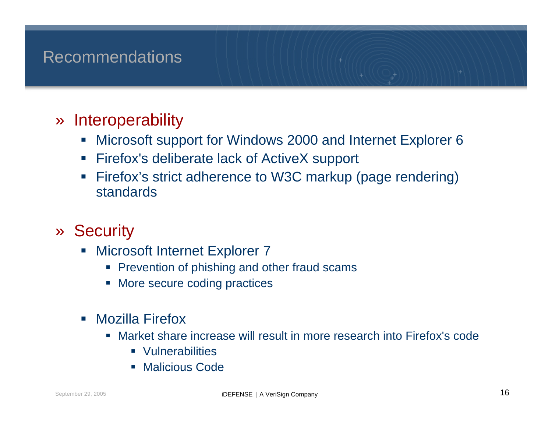## Recommendations

#### »**Interoperability**

- $\overline{\phantom{a}}$ Microsoft support for Windows 2000 and Internet Explorer 6
- $\mathcal{L}_{\mathcal{A}}$ Firefox's deliberate lack of ActiveX support
- $\blacksquare$  Firefox's strict adherence to W3C markup (page rendering) standards
- » Security
	- $\Box$  Microsoft Internet Explorer 7
		- **Prevention of phishing and other fraud scams**
		- г More secure coding practices
	- $\Box$  Mozilla Firefox
		- Market share increase will result in more research into Firefox's code
			- **•** Vulnerabilities
			- п Malicious Code